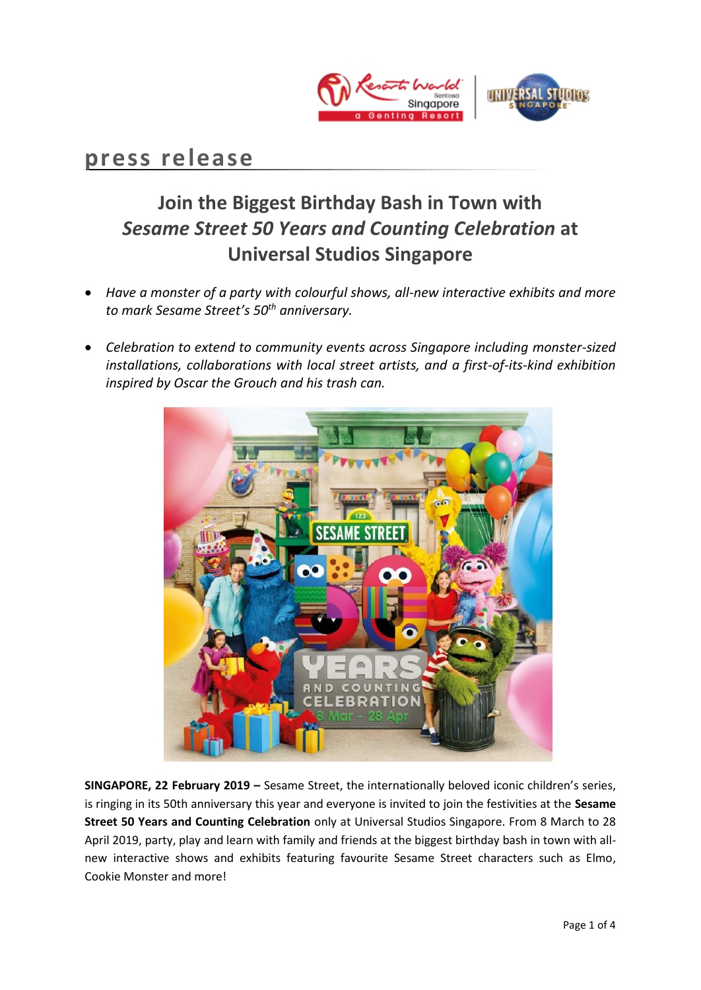

## **press release**

# **Join the Biggest Birthday Bash in Town with**  *Sesame Street 50 Years and Counting Celebration* **at Universal Studios Singapore**

- *Have a monster of a party with colourful shows, all-new interactive exhibits and more to mark Sesame Street's 50th anniversary.*
- *Celebration to extend to community events across Singapore including monster-sized installations, collaborations with local street artists, and a first-of-its-kind exhibition inspired by Oscar the Grouch and his trash can.*



**SINGAPORE, 22 February 2019 –** [Sesame Street,](https://secure-web.cisco.com/1cRyyAbmjTcytaHOsmVXk__YBvLuSH5-SebrV6mA44GAswmNpXOy4FcZP_mNsfQyoBlRX1RmzWwK9hBwbl6qoKUxeX07OmjTkS7yKLuThvmkyYkhe2dX4TX56xkEVJmUrsUc3ZgpVXvEefW2T3coNSsh_GEK4RYsy4R0TXXO2zmEWcmQ58mjL1_uENR9NDrDupBDk3rBUQhhzds6AcLZP8iqY8LYc0AmBMMB_l9UcoVrRtB7UmiT8ZNTVxI_Z6yrrOLQHi0Kerjjk7F4eCzuP9y6IBhZ-xoRVPGWPyTQydOMKvpTo9-ligCcydsjVhpscoHq2lQI6FPu8UvYVobDH8w/https%3A%2F%2Fwww.tvinsider.com%2Fshow%2Fsesame-street) the internationally beloved iconic children's series, is ringing in its 50th anniversary this year and everyone is invited to join the festivities at the **Sesame Street 50 Years and Counting Celebration** only at Universal Studios Singapore. From 8 March to 28 April 2019, party, play and learn with family and friends at the biggest birthday bash in town with allnew interactive shows and exhibits featuring favourite Sesame Street characters such as Elmo, Cookie Monster and more!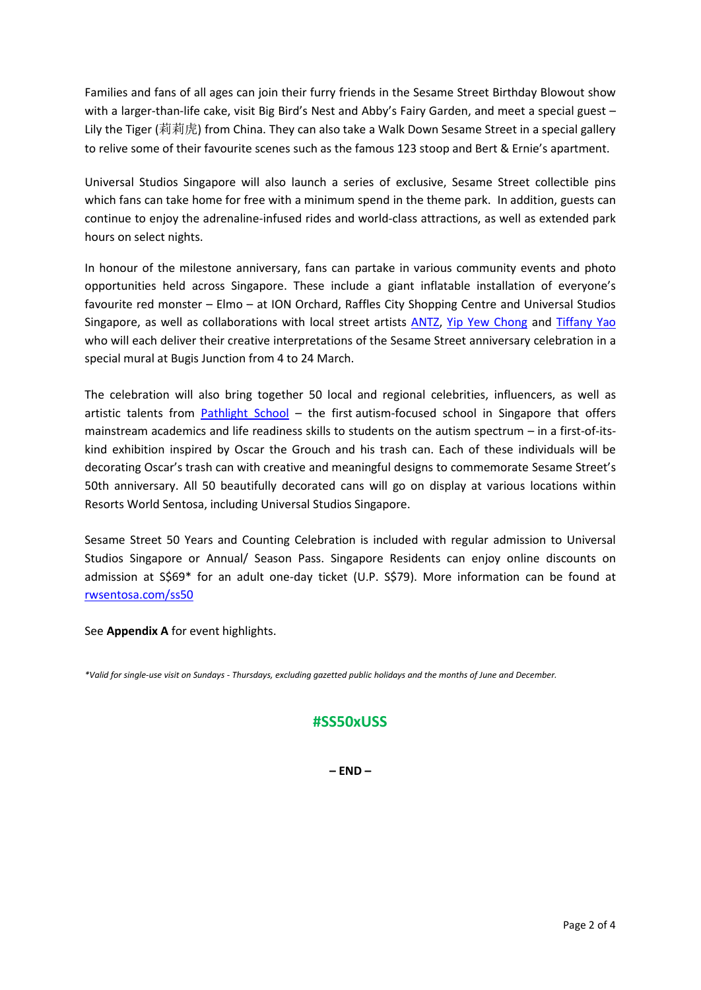Families and fans of all ages can join their furry friends in the Sesame Street Birthday Blowout show with a larger-than-life cake, visit Big Bird's Nest and Abby's Fairy Garden, and meet a special guest -Lily the Tiger (莉莉虎) from China. They can also take a Walk Down Sesame Street in a special gallery to relive some of their favourite scenes such as the famous 123 stoop and Bert & Ernie's apartment.

Universal Studios Singapore will also launch a series of exclusive, Sesame Street collectible pins which fans can take home for free with a minimum spend in the theme park. In addition, guests can continue to enjoy the adrenaline-infused rides and world-class attractions, as well as extended park hours on select nights.

In honour of the milestone anniversary, fans can partake in various community events and photo opportunities held across Singapore. These include a giant inflatable installation of everyone's favourite red monster – Elmo – at ION Orchard, Raffles City Shopping Centre and Universal Studios Singapore, as well as collaborations with local street artists [ANTZ,](https://www.instagram.com/antz_rscls/?hl=en) [Yip Yew Chong](https://www.instagram.com/yipyewchong/) and [Tiffany Yao](https://www.instagram.com/tiffanyyaoqi/?hl=en) who will each deliver their creative interpretations of the Sesame Street anniversary celebration in a special mural at Bugis Junction from 4 to 24 March.

The celebration will also bring together 50 local and regional celebrities, influencers, as well as artistic talents from [Pathlight School](https://www.pathlight.org.sg/) – the first autism-focused school in Singapore that offers mainstream academics and life readiness skills to students on the autism spectrum – in a first-of-itskind exhibition inspired by Oscar the Grouch and his trash can. Each of these individuals will be decorating Oscar's trash can with creative and meaningful designs to commemorate Sesame Street's 50th anniversary. All 50 beautifully decorated cans will go on display at various locations within Resorts World Sentosa, including Universal Studios Singapore.

Sesame Street 50 Years and Counting Celebration is included with regular admission to Universal Studios Singapore or Annual/ Season Pass. Singapore Residents can enjoy online discounts on admission at S\$69\* for an adult one-day ticket (U.P. S\$79). More information can be found at [rwsentosa.com/ss50](http://www.rwsentosa.com/ss50) 

See **Appendix A** for event highlights.

*\*Valid for single-use visit on Sundays - Thursdays, excluding gazetted public holidays and the months of June and December.*

## **#SS50xUSS**

**– END –**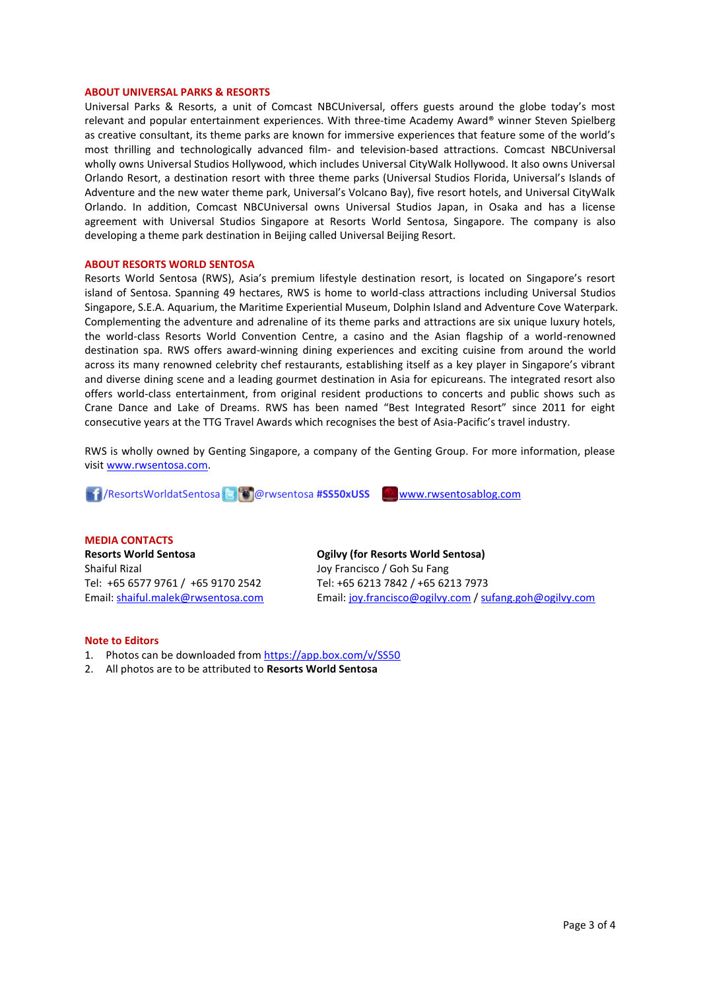#### **ABOUT UNIVERSAL PARKS & RESORTS**

Universal Parks & Resorts, a unit of Comcast NBCUniversal, offers guests around the globe today's most relevant and popular entertainment experiences. With three-time Academy Award® winner Steven Spielberg as creative consultant, its theme parks are known for immersive experiences that feature some of the world's most thrilling and technologically advanced film- and television-based attractions. Comcast NBCUniversal wholly owns Universal Studios Hollywood, which includes Universal CityWalk Hollywood. It also owns Universal Orlando Resort, a destination resort with three theme parks (Universal Studios Florida, Universal's Islands of Adventure and the new water theme park, Universal's Volcano Bay), five resort hotels, and Universal CityWalk Orlando. In addition, Comcast NBCUniversal owns Universal Studios Japan, in Osaka and has a license agreement with Universal Studios Singapore at Resorts World Sentosa, Singapore. The company is also developing a theme park destination in Beijing called Universal Beijing Resort.

#### **ABOUT RESORTS WORLD SENTOSA**

Resorts World Sentosa (RWS), Asia's premium lifestyle destination resort, is located on Singapore's resort island of Sentosa. Spanning 49 hectares, RWS is home to world-class attractions including Universal Studios Singapore, S.E.A. Aquarium, the Maritime Experiential Museum, Dolphin Island and Adventure Cove Waterpark. Complementing the adventure and adrenaline of its theme parks and attractions are six unique luxury hotels, the world-class Resorts World Convention Centre, a casino and the Asian flagship of a world-renowned destination spa. RWS offers award-winning dining experiences and exciting cuisine from around the world across its many renowned celebrity chef restaurants, establishing itself as a key player in Singapore's vibrant and diverse dining scene and a leading gourmet destination in Asia for epicureans. The integrated resort also offers world-class entertainment, from original resident productions to concerts and public shows such as Crane Dance and Lake of Dreams. RWS has been named "Best Integrated Resort" since 2011 for eight consecutive years at the TTG Travel Awards which recognises the best of Asia-Pacific's travel industry.

RWS is wholly owned by Genting Singapore, a company of the Genting Group. For more information, please visi[t www.rwsentosa.com.](http://www.rwsentosa.com/)

/ResortsWorldatSentosa @rwsentosa **#SS50xUSS** [www.rwsentosablog.com](http://www.rwsentosablog.com/)

**MEDIA CONTACTS Resorts World Sentosa** Shaiful Rizal Tel: +65 6577 9761 / +65 9170 2542 Email: [shaiful.malek@rwsentosa.com](mailto:shaiful.malek@rwsentosa.com)

**Ogilvy (for Resorts World Sentosa)** Joy Francisco / Goh Su Fang Tel: +65 6213 7842 / +65 6213 7973 Email[: joy.francisco@ogilvy.com](mailto:joy.francisco@ogilvy.com) / [sufang.goh@ogilvy.com](mailto:sufang.goh@ogilvy.com)

#### **Note to Editors**

- 1. Photos can be downloaded fro[m https://app.box.com/v/SS50](https://app.box.com/v/SS50)
- 2. All photos are to be attributed to **Resorts World Sentosa**